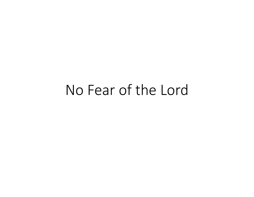# No Fear of the Lord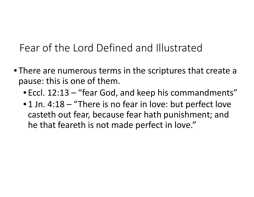Fear of the Lord Defined and Illustrated

- There are numerous terms in the scriptures that create a pause: this is one of them.
	- Eccl. 12:13 "fear God, and keep his commandments"
	- 1 Jn. 4:18 "There is no fear in love: but perfect love casteth out fear, because fear hath punishment; and he that feareth is not made perfect in love."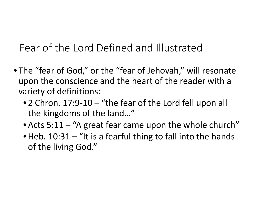Fear of the Lord Defined and Illustrated

- The "fear of God," or the "fear of Jehovah," will resonate upon the conscience and the heart of the reader with a variety of definitions:
	- 2 Chron. 17:9-10 "the fear of the Lord fell upon all the kingdoms of the land…"
	- Acts 5:11 "A great fear came upon the whole church"
	- Heb. 10:31 "It is a fearful thing to fall into the hands of the living God."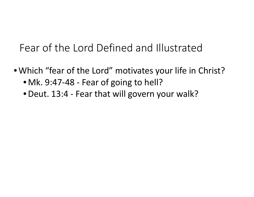## Fear of the Lord Defined and Illustrated

- Which "fear of the Lord" motivates your life in Christ?
	- Mk. 9:47-48 Fear of going to hell?
	- •Deut. 13:4 Fear that will govern your walk?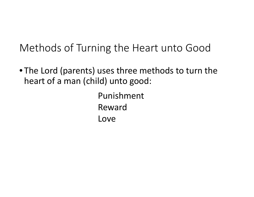## Methods of Turning the Heart unto Good

• The Lord (parents) uses three methods to turn the heart of a man (child) unto good:

> Punishment Reward Love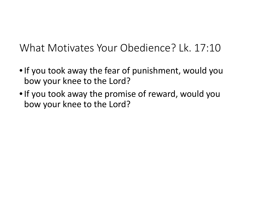What Motivates Your Obedience? Lk. 17:10

- •If you took away the fear of punishment, would you bow your knee to the Lord?
- If you took away the promise of reward, would you bow your knee to the Lord?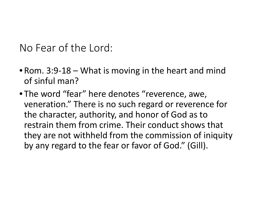No Fear of the Lord:

- Rom. 3:9-18 What is moving in the heart and mind of sinful man?
- The word "fear" here denotes "reverence, awe, veneration." There is no such regard or reverence for the character, authority, and honor of God as to restrain them from crime. Their conduct shows that they are not withheld from the commission of iniquity by any regard to the fear or favor of God." (Gill).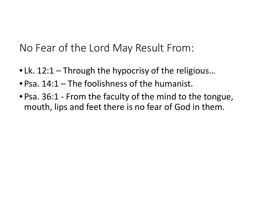No Fear of the Lord May Result From:

- Lk. 12:1 Through the hypocrisy of the religious...
- Psa. 14:1 The foolishness of the humanist.
- Psa. 36:1 From the faculty of the mind to the tongue, mouth, lips and feet there is no fear of God in them.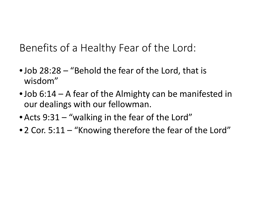Benefits of a Healthy Fear of the Lord:

- •Job 28:28 "Behold the fear of the Lord, that is wisdom"
- Job 6:14 A fear of the Almighty can be manifested in our dealings with our fellowman.
- Acts 9:31 "walking in the fear of the Lord"
- 2 Cor. 5:11 "Knowing therefore the fear of the Lord"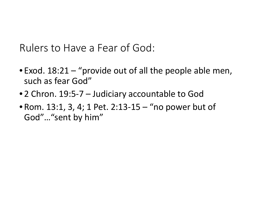Rulers to Have a Fear of God:

- Exod. 18:21 "provide out of all the people able men, such as fear God"
- 2 Chron. 19:5-7 Judiciary accountable to God
- Rom. 13:1, 3, 4; 1 Pet. 2:13-15 "no power but of God"…"sent by him"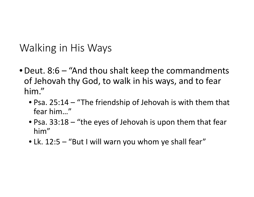#### Walking in His Ways

- •Deut. 8:6 "And thou shalt keep the commandments of Jehovah thy God, to walk in his ways, and to fear him."
	- Psa. 25:14 "The friendship of Jehovah is with them that fear him…"
	- Psa. 33:18 "the eyes of Jehovah is upon them that fear him"
	- Lk. 12:5 "But I will warn you whom ye shall fear"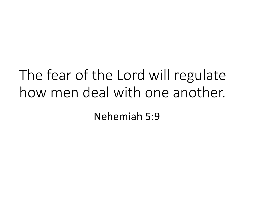# The fear of the Lord will regulate how men deal with one another. Nehemiah 5:9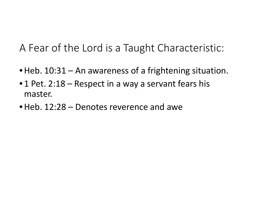A Fear of the Lord is a Taught Characteristic:

- Heb. 10:31 An awareness of a frightening situation.
- 1 Pet. 2:18 Respect in a way a servant fears his master.
- Heb. 12:28 Denotes reverence and awe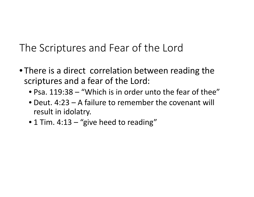The Scriptures and Fear of the Lord

- There is a direct correlation between reading the scriptures and a fear of the Lord:
	- Psa. 119:38 "Which is in order unto the fear of thee"
	- Deut. 4:23 A failure to remember the covenant will result in idolatry.
	- 1 Tim. 4:13 "give heed to reading"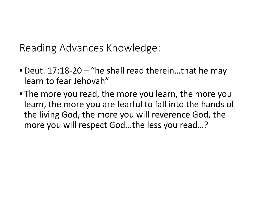Reading Advances Knowledge:

- •Deut. 17:18-20 "he shall read therein…that he may learn to fear Jehovah"
- The more you read, the more you learn, the more you learn, the more you are fearful to fall into the hands of the living God, the more you will reverence God, the more you will respect God…the less you read…?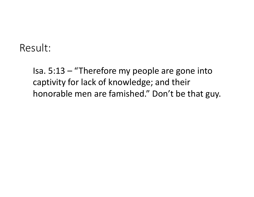#### Result:

Isa. 5:13 – "Therefore my people are gone into captivity for lack of knowledge; and their honorable men are famished." Don't be that guy.